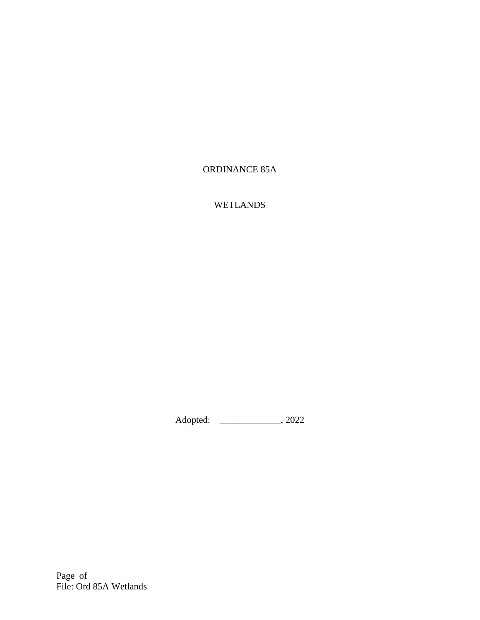# ORDINANCE 85A

# WETLANDS

Adopted: \_\_\_\_\_\_\_\_\_\_\_\_\_, 2022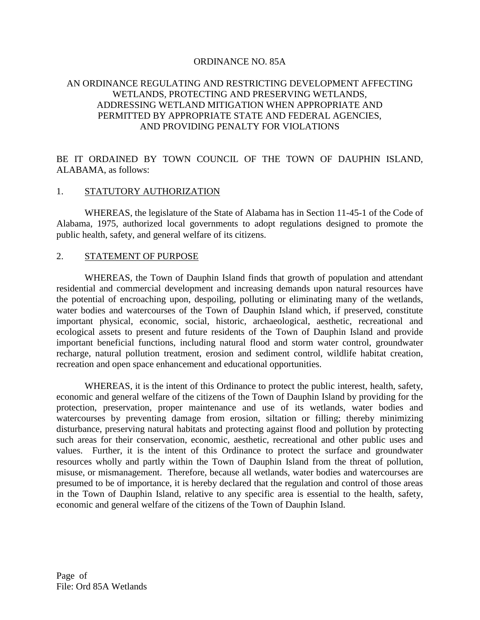### ORDINANCE NO. 85A

## AN ORDINANCE REGULATING AND RESTRICTING DEVELOPMENT AFFECTING WETLANDS, PROTECTING AND PRESERVING WETLANDS, ADDRESSING WETLAND MITIGATION WHEN APPROPRIATE AND PERMITTED BY APPROPRIATE STATE AND FEDERAL AGENCIES, AND PROVIDING PENALTY FOR VIOLATIONS

BE IT ORDAINED BY TOWN COUNCIL OF THE TOWN OF DAUPHIN ISLAND, ALABAMA, as follows:

#### 1. STATUTORY AUTHORIZATION

WHEREAS, the legislature of the State of Alabama has in Section 11-45-1 of the Code of Alabama, 1975, authorized local governments to adopt regulations designed to promote the public health, safety, and general welfare of its citizens.

#### 2. STATEMENT OF PURPOSE

WHEREAS, the Town of Dauphin Island finds that growth of population and attendant residential and commercial development and increasing demands upon natural resources have the potential of encroaching upon, despoiling, polluting or eliminating many of the wetlands, water bodies and watercourses of the Town of Dauphin Island which, if preserved, constitute important physical, economic, social, historic, archaeological, aesthetic, recreational and ecological assets to present and future residents of the Town of Dauphin Island and provide important beneficial functions, including natural flood and storm water control, groundwater recharge, natural pollution treatment, erosion and sediment control, wildlife habitat creation, recreation and open space enhancement and educational opportunities.

WHEREAS, it is the intent of this Ordinance to protect the public interest, health, safety, economic and general welfare of the citizens of the Town of Dauphin Island by providing for the protection, preservation, proper maintenance and use of its wetlands, water bodies and watercourses by preventing damage from erosion, siltation or filling; thereby minimizing disturbance, preserving natural habitats and protecting against flood and pollution by protecting such areas for their conservation, economic, aesthetic, recreational and other public uses and values. Further, it is the intent of this Ordinance to protect the surface and groundwater resources wholly and partly within the Town of Dauphin Island from the threat of pollution, misuse, or mismanagement. Therefore, because all wetlands, water bodies and watercourses are presumed to be of importance, it is hereby declared that the regulation and control of those areas in the Town of Dauphin Island, relative to any specific area is essential to the health, safety, economic and general welfare of the citizens of the Town of Dauphin Island.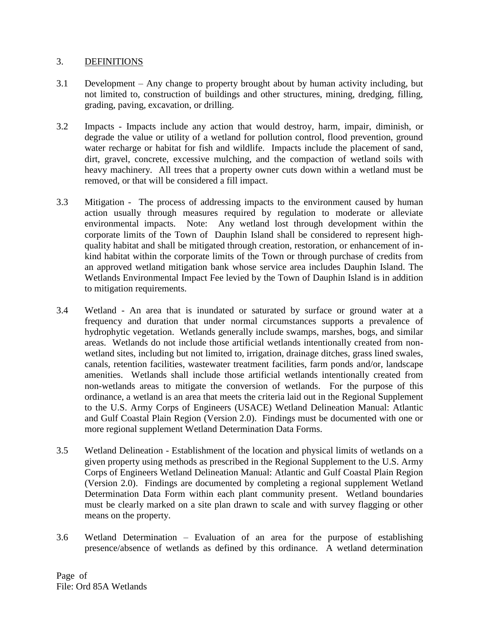## 3. DEFINITIONS

- 3.1 Development Any change to property brought about by human activity including, but not limited to, construction of buildings and other structures, mining, dredging, filling, grading, paving, excavation, or drilling.
- 3.2 Impacts Impacts include any action that would destroy, harm, impair, diminish, or degrade the value or utility of a wetland for pollution control, flood prevention, ground water recharge or habitat for fish and wildlife. Impacts include the placement of sand, dirt, gravel, concrete, excessive mulching, and the compaction of wetland soils with heavy machinery. All trees that a property owner cuts down within a wetland must be removed, or that will be considered a fill impact.
- 3.3 Mitigation The process of addressing impacts to the environment caused by human action usually through measures required by regulation to moderate or alleviate environmental impacts. Note: Any wetland lost through development within the corporate limits of the Town of Dauphin Island shall be considered to represent highquality habitat and shall be mitigated through creation, restoration, or enhancement of inkind habitat within the corporate limits of the Town or through purchase of credits from an approved wetland mitigation bank whose service area includes Dauphin Island. The Wetlands Environmental Impact Fee levied by the Town of Dauphin Island is in addition to mitigation requirements.
- 3.4 Wetland An area that is inundated or saturated by surface or ground water at a frequency and duration that under normal circumstances supports a prevalence of hydrophytic vegetation. Wetlands generally include swamps, marshes, bogs, and similar areas. Wetlands do not include those artificial wetlands intentionally created from nonwetland sites, including but not limited to, irrigation, drainage ditches, grass lined swales, canals, retention facilities, wastewater treatment facilities, farm ponds and/or, landscape amenities. Wetlands shall include those artificial wetlands intentionally created from non-wetlands areas to mitigate the conversion of wetlands. For the purpose of this ordinance, a wetland is an area that meets the criteria laid out in the Regional Supplement to the U.S. Army Corps of Engineers (USACE) Wetland Delineation Manual: Atlantic and Gulf Coastal Plain Region (Version 2.0). Findings must be documented with one or more regional supplement Wetland Determination Data Forms.
- 3.5 Wetland Delineation Establishment of the location and physical limits of wetlands on a given property using methods as prescribed in the Regional Supplement to the U.S. Army Corps of Engineers Wetland Delineation Manual: Atlantic and Gulf Coastal Plain Region (Version 2.0). Findings are documented by completing a regional supplement Wetland Determination Data Form within each plant community present. Wetland boundaries must be clearly marked on a site plan drawn to scale and with survey flagging or other means on the property.
- 3.6 Wetland Determination Evaluation of an area for the purpose of establishing presence/absence of wetlands as defined by this ordinance. A wetland determination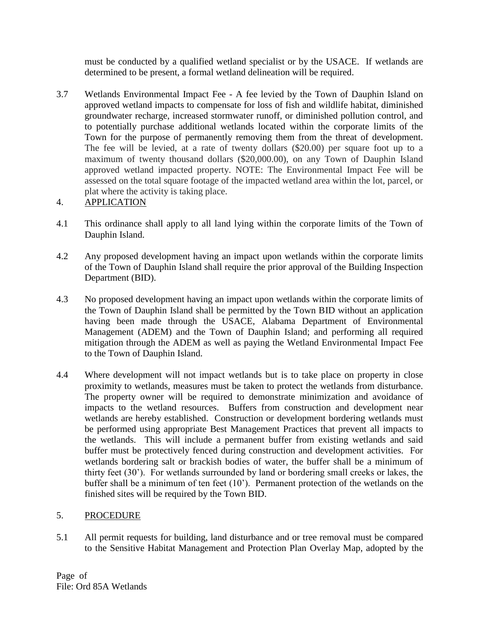must be conducted by a qualified wetland specialist or by the USACE. If wetlands are determined to be present, a formal wetland delineation will be required.

3.7 Wetlands Environmental Impact Fee - A fee levied by the Town of Dauphin Island on approved wetland impacts to compensate for loss of fish and wildlife habitat, diminished groundwater recharge, increased stormwater runoff, or diminished pollution control, and to potentially purchase additional wetlands located within the corporate limits of the Town for the purpose of permanently removing them from the threat of development. The fee will be levied, at a rate of twenty dollars (\$20.00) per square foot up to a maximum of twenty thousand dollars (\$20,000.00), on any Town of Dauphin Island approved wetland impacted property. NOTE: The Environmental Impact Fee will be assessed on the total square footage of the impacted wetland area within the lot, parcel, or plat where the activity is taking place.

# 4. APPLICATION

- 4.1 This ordinance shall apply to all land lying within the corporate limits of the Town of Dauphin Island.
- 4.2 Any proposed development having an impact upon wetlands within the corporate limits of the Town of Dauphin Island shall require the prior approval of the Building Inspection Department (BID).
- 4.3 No proposed development having an impact upon wetlands within the corporate limits of the Town of Dauphin Island shall be permitted by the Town BID without an application having been made through the USACE, Alabama Department of Environmental Management (ADEM) and the Town of Dauphin Island; and performing all required mitigation through the ADEM as well as paying the Wetland Environmental Impact Fee to the Town of Dauphin Island.
- 4.4 Where development will not impact wetlands but is to take place on property in close proximity to wetlands, measures must be taken to protect the wetlands from disturbance. The property owner will be required to demonstrate minimization and avoidance of impacts to the wetland resources. Buffers from construction and development near wetlands are hereby established. Construction or development bordering wetlands must be performed using appropriate Best Management Practices that prevent all impacts to the wetlands. This will include a permanent buffer from existing wetlands and said buffer must be protectively fenced during construction and development activities. For wetlands bordering salt or brackish bodies of water, the buffer shall be a minimum of thirty feet (30'). For wetlands surrounded by land or bordering small creeks or lakes, the buffer shall be a minimum of ten feet (10'). Permanent protection of the wetlands on the finished sites will be required by the Town BID.

# 5. PROCEDURE

5.1 All permit requests for building, land disturbance and or tree removal must be compared to the Sensitive Habitat Management and Protection Plan Overlay Map, adopted by the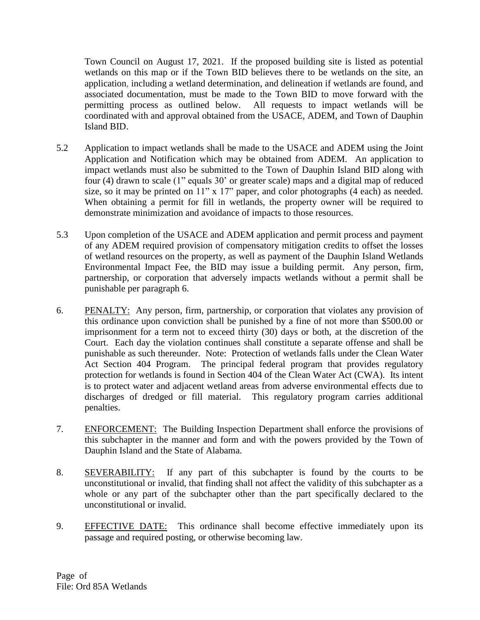Town Council on August 17, 2021. If the proposed building site is listed as potential wetlands on this map or if the Town BID believes there to be wetlands on the site, an application, including a wetland determination, and delineation if wetlands are found, and associated documentation, must be made to the Town BID to move forward with the permitting process as outlined below. All requests to impact wetlands will be coordinated with and approval obtained from the USACE, ADEM, and Town of Dauphin Island BID.

- 5.2 Application to impact wetlands shall be made to the USACE and ADEM using the Joint Application and Notification which may be obtained from ADEM. An application to impact wetlands must also be submitted to the Town of Dauphin Island BID along with four (4) drawn to scale (1" equals 30' or greater scale) maps and a digital map of reduced size, so it may be printed on 11" x 17" paper, and color photographs (4 each) as needed. When obtaining a permit for fill in wetlands, the property owner will be required to demonstrate minimization and avoidance of impacts to those resources.
- 5.3 Upon completion of the USACE and ADEM application and permit process and payment of any ADEM required provision of compensatory mitigation credits to offset the losses of wetland resources on the property, as well as payment of the Dauphin Island Wetlands Environmental Impact Fee, the BID may issue a building permit. Any person, firm, partnership, or corporation that adversely impacts wetlands without a permit shall be punishable per paragraph 6.
- 6. PENALTY: Any person, firm, partnership, or corporation that violates any provision of this ordinance upon conviction shall be punished by a fine of not more than \$500.00 or imprisonment for a term not to exceed thirty (30) days or both, at the discretion of the Court. Each day the violation continues shall constitute a separate offense and shall be punishable as such thereunder. Note: Protection of wetlands falls under the Clean Water Act Section 404 Program. The principal federal program that provides regulatory protection for wetlands is found in Section 404 of the Clean Water Act (CWA). Its intent is to protect water and adjacent wetland areas from adverse environmental effects due to discharges of dredged or fill material. This regulatory program carries additional penalties.
- 7. ENFORCEMENT: The Building Inspection Department shall enforce the provisions of this subchapter in the manner and form and with the powers provided by the Town of Dauphin Island and the State of Alabama.
- 8. SEVERABILITY: If any part of this subchapter is found by the courts to be unconstitutional or invalid, that finding shall not affect the validity of this subchapter as a whole or any part of the subchapter other than the part specifically declared to the unconstitutional or invalid.
- 9. EFFECTIVE DATE: This ordinance shall become effective immediately upon its passage and required posting, or otherwise becoming law.